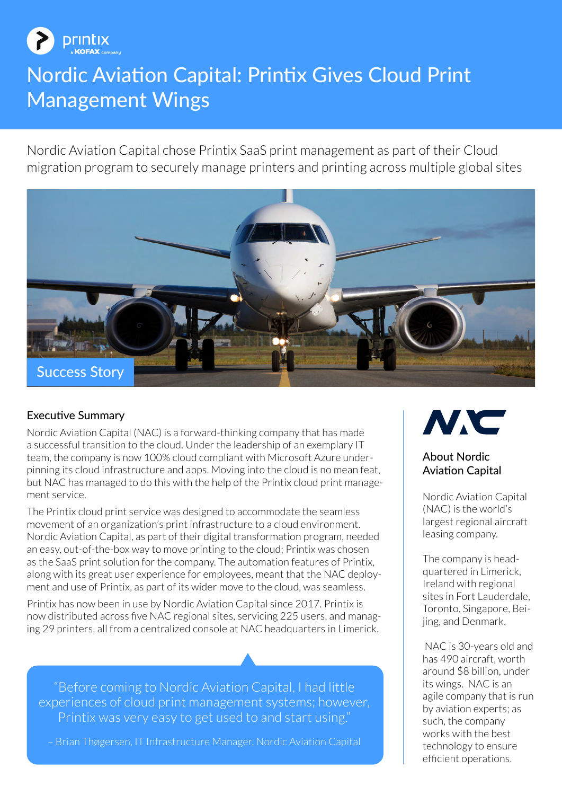

# Nordic Aviation Capital: Printix Gives Cloud Print Management Wings

Nordic Aviation Capital chose Printix SaaS print management as part of their Cloud migration program to securely manage printers and printing across multiple global sites



#### Executive Summary

Nordic Aviation Capital (NAC) is a forward-thinking company that has made a successful transition to the cloud. Under the leadership of an exemplary IT team, the company is now 100% cloud compliant with Microsoft Azure underpinning its cloud infrastructure and apps. Moving into the cloud is no mean feat, but NAC has managed to do this with the help of the Printix cloud print management service.

The Printix cloud print service was designed to accommodate the seamless movement of an organization's print infrastructure to a cloud environment. Nordic Aviation Capital, as part of their digital transformation program, needed an easy, out-of-the-box way to move printing to the cloud; Printix was chosen as the SaaS print solution for the company. The automation features of Printix, along with its great user experience for employees, meant that the NAC deployment and use of Printix, as part of its wider move to the cloud, was seamless.

Printix has now been in use by Nordic Aviation Capital since 2017. Printix is now distributed across five NAC regional sites, servicing 225 users, and managing 29 printers, all from a centralized console at NAC headquarters in Limerick.

"Before coming to Nordic Aviation Capital, I had little experiences of cloud print management systems; however, Printix was very easy to get used to and start using."

– Brian Thøgersen, IT Infrastructure Manager, Nordic Aviation Capital



#### About Nordic Aviation Capital

Nordic Aviation Capital (NAC) is the world's largest regional aircraft leasing company.

The company is headquartered in Limerick, Ireland with regional sites in Fort Lauderdale, Toronto, Singapore, Beijing, and Denmark.

 NAC is 30-years old and has 490 aircraft, worth around \$8 billion, under its wings. NAC is an agile company that is run by aviation experts; as such, the company works with the best technology to ensure efficient operations.